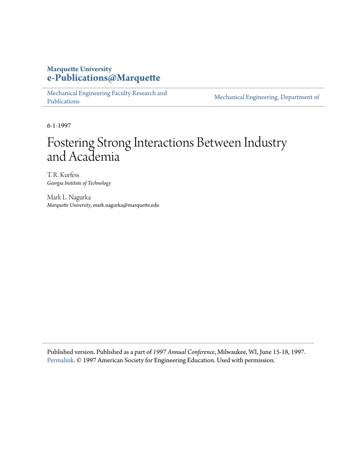# **Marquette University [e-Publications@Marquette](https://epublications.marquette.edu)**

[Mechanical Engineering Faculty Research and](https://epublications.marquette.edu/mechengin_fac) [Publications](https://epublications.marquette.edu/mechengin_fac)

[Mechanical Engineering, Department of](https://epublications.marquette.edu/mechengin)

6-1-1997

# Fostering Strong Interactions Between Industry and Academia

T. R. Kurfess *Georgia Institute of Technology*

Mark L. Nagurka *Marquette University*, mark.nagurka@marquette.edu

Published version. Published as a part of *1997 Annual Conference*, Milwaukee, WI, June 15-18, 1997. [Permalink.](https://peer.asee.org/6577) © 1997 American Society for Engineering Education. Used with permission.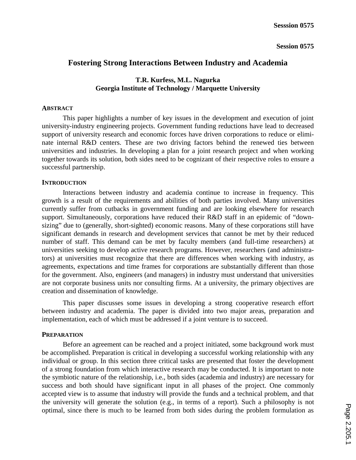# **Fostering Strong Interactions Between Industry and Academia**

# **T.R. Kurfess, M.L. Nagurka Georgia Institute of Technology / Marquette University**

## **ABSTRACT**

This paper highlights a number of key issues in the development and execution of joint university-industry engineering projects. Government funding reductions have lead to decreased support of university research and economic forces have driven corporations to reduce or eliminate internal R&D centers. These are two driving factors behind the renewed ties between universities and industries. In developing a plan for a joint research project and when working together towards its solution, both sides need to be cognizant of their respective roles to ensure a successful partnership.

# **INTRODUCTION**

Interactions between industry and academia continue to increase in frequency. This growth is a result of the requirements and abilities of both parties involved. Many universities currently suffer from cutbacks in government funding and are looking elsewhere for research support. Simultaneously, corporations have reduced their R&D staff in an epidemic of "downsizing" due to (generally, short-sighted) economic reasons. Many of these corporations still have significant demands in research and development services that cannot be met by their reduced number of staff. This demand can be met by faculty members (and full-time researchers) at universities seeking to develop active research programs. However, researchers (and administrators) at universities must recognize that there are differences when working with industry, as agreements, expectations and time frames for corporations are substantially different than those for the government. Also, engineers (and managers) in industry must understand that universities are not corporate business units nor consulting firms. At a university, the primary objectives are creation and dissemination of knowledge.

This paper discusses some issues in developing a strong cooperative research effort between industry and academia. The paper is divided into two major areas, preparation and implementation, each of which must be addressed if a joint venture is to succeed.

# **PREPARATION**

Before an agreement can be reached and a project initiated, some background work must be accomplished. Preparation is critical in developing a successful working relationship with any individual or group. In this section three critical tasks are presented that foster the development of a strong foundation from which interactive research may be conducted. It is important to note the symbiotic nature of the relationship, i.e., both sides (academia and industry) are necessary for success and both should have significant input in all phases of the project. One commonly accepted view is to assume that industry will provide the funds and a technical problem, and that the university will generate the solution (e.g., in terms of a report). Such a philosophy is not optimal, since there is much to be learned from both sides during the problem formulation as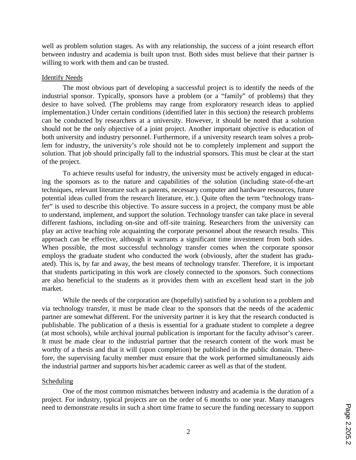well as problem solution stages. As with any relationship, the success of a joint research effort between industry and academia is built upon trust. Both sides must believe that their partner is willing to work with them and can be trusted.

## Identify Needs

The most obvious part of developing a successful project is to identify the needs of the industrial sponsor. Typically, sponsors have a problem (or a "family" of problems) that they desire to have solved. (The problems may range from exploratory research ideas to applied implementation.) Under certain conditions (identified later in this section) the research problems can be conducted by researchers at a university. However, it should be noted that a solution should not be the only objective of a joint project. Another important objective is education of both university and industry personnel. Furthermore, if a university research team solves a problem for industry, the university's role should not be to completely implement and support the solution. That job should principally fall to the industrial sponsors. This must be clear at the start of the project.

To achieve results useful for industry, the university must be actively engaged in educating the sponsors as to the nature and capabilities of the solution (including state-of-the-art techniques, relevant literature such as patents, necessary computer and hardware resources, future potential ideas culled from the research literature, etc.). Quite often the term "technology transfer" is used to describe this objective. To assure success in a project, the company must be able to understand, implement, and support the solution. Technology transfer can take place in several different fashions, including on-site and off-site training. Researchers from the university can play an active teaching role acquainting the corporate personnel about the research results. This approach can be effective, although it warrants a significant time investment from both sides. When possible, the most successful technology transfer comes when the corporate sponsor employs the graduate student who conducted the work (obviously, after the student has graduated). This is, by far and away, the best means of technology transfer. Therefore, it is important that students participating in this work are closely connected to the sponsors. Such connections are also beneficial to the students as it provides them with an excellent head start in the job market.

While the needs of the corporation are (hopefully) satisfied by a solution to a problem and via technology transfer, it must be made clear to the sponsors that the needs of the academic partner are somewhat different. For the university partner it is key that the research conducted is publishable. The publication of a thesis is essential for a graduate student to complete a degree (at most schools), while archival journal publication is important for the faculty advisor's career. It must be made clear to the industrial partner that the research content of the work must be worthy of a thesis and that it will (upon completion) be published in the public domain. Therefore, the supervising faculty member must ensure that the work performed simultaneously aids the industrial partner and supports his/her academic career as well as that of the student.

# Scheduling

One of the most common mismatches between industry and academia is the duration of a project. For industry, typical projects are on the order of 6 months to one year. Many managers need to demonstrate results in such a short time frame to secure the funding necessary to support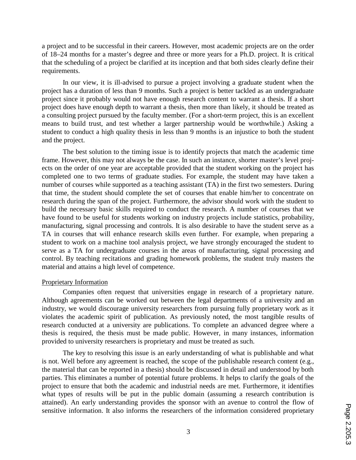a project and to be successful in their careers. However, most academic projects are on the order of 18–24 months for a master's degree and three or more years for a Ph.D. project. It is critical that the scheduling of a project be clarified at its inception and that both sides clearly define their requirements.

In our view, it is ill-advised to pursue a project involving a graduate student when the project has a duration of less than 9 months. Such a project is better tackled as an undergraduate project since it probably would not have enough research content to warrant a thesis. If a short project does have enough depth to warrant a thesis, then more than likely, it should be treated as a consulting project pursued by the faculty member. (For a short-term project, this is an excellent means to build trust, and test whether a larger partnership would be worthwhile.) Asking a student to conduct a high quality thesis in less than 9 months is an injustice to both the student and the project.

The best solution to the timing issue is to identify projects that match the academic time frame. However, this may not always be the case. In such an instance, shorter master's level projects on the order of one year are acceptable provided that the student working on the project has completed one to two terms of graduate studies. For example, the student may have taken a number of courses while supported as a teaching assistant (TA) in the first two semesters. During that time, the student should complete the set of courses that enable him/her to concentrate on research during the span of the project. Furthermore, the advisor should work with the student to build the necessary basic skills required to conduct the research. A number of courses that we have found to be useful for students working on industry projects include statistics, probability, manufacturing, signal processing and controls. It is also desirable to have the student serve as a TA in courses that will enhance research skills even further. For example, when preparing a student to work on a machine tool analysis project, we have strongly encouraged the student to serve as a TA for undergraduate courses in the areas of manufacturing, signal processing and control. By teaching recitations and grading homework problems, the student truly masters the material and attains a high level of competence.

#### Proprietary Information

Companies often request that universities engage in research of a proprietary nature. Although agreements can be worked out between the legal departments of a university and an industry, we would discourage university researchers from pursuing fully proprietary work as it violates the academic spirit of publication. As previously noted, the most tangible results of research conducted at a university are publications. To complete an advanced degree where a thesis is required, the thesis must be made public. However, in many instances, information provided to university researchers is proprietary and must be treated as such.

The key to resolving this issue is an early understanding of what is publishable and what is not. Well before any agreement is reached, the scope of the publishable research content (e.g., the material that can be reported in a thesis) should be discussed in detail and understood by both parties. This eliminates a number of potential future problems. It helps to clarify the goals of the project to ensure that both the academic and industrial needs are met. Furthermore, it identifies what types of results will be put in the public domain (assuming a research contribution is attained). An early understanding provides the sponsor with an avenue to control the flow of sensitive information. It also informs the researchers of the information considered proprietary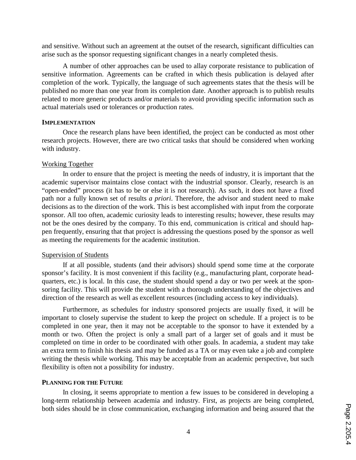and sensitive. Without such an agreement at the outset of the research, significant difficulties can arise such as the sponsor requesting significant changes in a nearly completed thesis.

A number of other approaches can be used to allay corporate resistance to publication of sensitive information. Agreements can be crafted in which thesis publication is delayed after completion of the work. Typically, the language of such agreements states that the thesis will be published no more than one year from its completion date. Another approach is to publish results related to more generic products and/or materials to avoid providing specific information such as actual materials used or tolerances or production rates.

#### **IMPLEMENTATION**

Once the research plans have been identified, the project can be conducted as most other research projects. However, there are two critical tasks that should be considered when working with industry.

### Working Together

In order to ensure that the project is meeting the needs of industry, it is important that the academic supervisor maintains close contact with the industrial sponsor. Clearly, research is an "open-ended" process (it has to be or else it is not research). As such, it does not have a fixed path nor a fully known set of results *a priori*. Therefore, the advisor and student need to make decisions as to the direction of the work. This is best accomplished with input from the corporate sponsor. All too often, academic curiosity leads to interesting results; however, these results may not be the ones desired by the company. To this end, communication is critical and should happen frequently, ensuring that that project is addressing the questions posed by the sponsor as well as meeting the requirements for the academic institution.

### Supervision of Students

If at all possible, students (and their advisors) should spend some time at the corporate sponsor's facility. It is most convenient if this facility (e.g., manufacturing plant, corporate headquarters, etc.) is local. In this case, the student should spend a day or two per week at the sponsoring facility. This will provide the student with a thorough understanding of the objectives and direction of the research as well as excellent resources (including access to key individuals).

Furthermore, as schedules for industry sponsored projects are usually fixed, it will be important to closely supervise the student to keep the project on schedule. If a project is to be completed in one year, then it may not be acceptable to the sponsor to have it extended by a month or two. Often the project is only a small part of a larger set of goals and it must be completed on time in order to be coordinated with other goals. In academia, a student may take an extra term to finish his thesis and may be funded as a TA or may even take a job and complete writing the thesis while working. This may be acceptable from an academic perspective, but such flexibility is often not a possibility for industry.

### **PLANNING FOR THE FUTURE**

In closing, it seems appropriate to mention a few issues to be considered in developing a long-term relationship between academia and industry. First, as projects are being completed, both sides should be in close communication, exchanging information and being assured that the